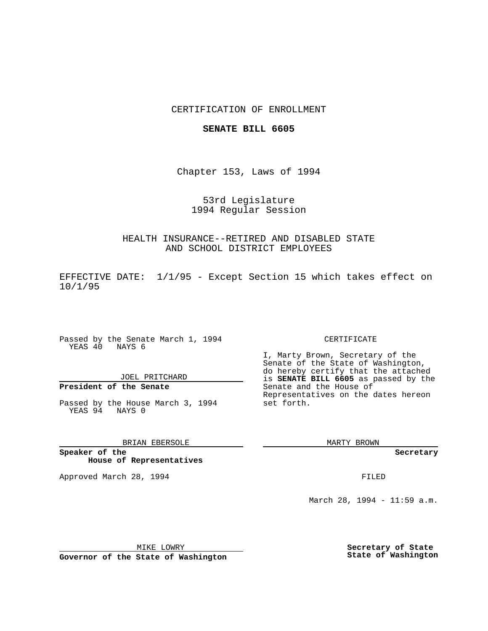## CERTIFICATION OF ENROLLMENT

### **SENATE BILL 6605**

Chapter 153, Laws of 1994

53rd Legislature 1994 Regular Session

HEALTH INSURANCE--RETIRED AND DISABLED STATE AND SCHOOL DISTRICT EMPLOYEES

EFFECTIVE DATE: 1/1/95 - Except Section 15 which takes effect on 10/1/95

Passed by the Senate March 1, 1994 YEAS 40 NAYS 6

JOEL PRITCHARD

# **President of the Senate**

Passed by the House March 3, 1994 YEAS 94 NAYS 0

## BRIAN EBERSOLE

**Speaker of the House of Representatives**

Approved March 28, 1994 **FILED** 

#### CERTIFICATE

I, Marty Brown, Secretary of the Senate of the State of Washington, do hereby certify that the attached is **SENATE BILL 6605** as passed by the Senate and the House of Representatives on the dates hereon set forth.

MARTY BROWN

**Secretary**

March 28, 1994 - 11:59 a.m.

MIKE LOWRY **Governor of the State of Washington** **Secretary of State State of Washington**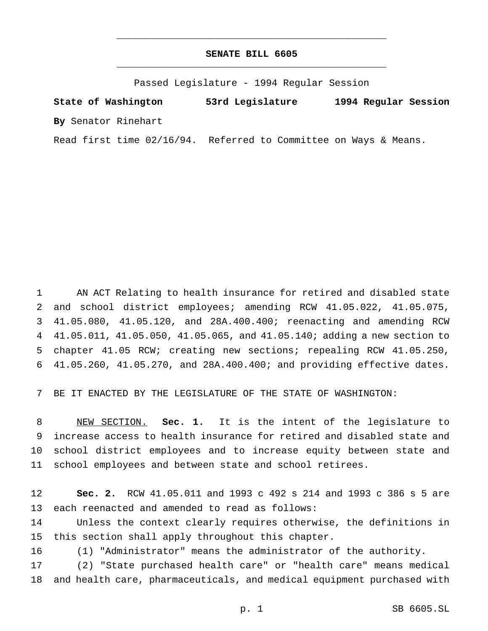## **SENATE BILL 6605** \_\_\_\_\_\_\_\_\_\_\_\_\_\_\_\_\_\_\_\_\_\_\_\_\_\_\_\_\_\_\_\_\_\_\_\_\_\_\_\_\_\_\_\_\_\_\_

\_\_\_\_\_\_\_\_\_\_\_\_\_\_\_\_\_\_\_\_\_\_\_\_\_\_\_\_\_\_\_\_\_\_\_\_\_\_\_\_\_\_\_\_\_\_\_

Passed Legislature - 1994 Regular Session

**State of Washington 53rd Legislature 1994 Regular Session By** Senator Rinehart

Read first time 02/16/94. Referred to Committee on Ways & Means.

 AN ACT Relating to health insurance for retired and disabled state and school district employees; amending RCW 41.05.022, 41.05.075, 41.05.080, 41.05.120, and 28A.400.400; reenacting and amending RCW 41.05.011, 41.05.050, 41.05.065, and 41.05.140; adding a new section to chapter 41.05 RCW; creating new sections; repealing RCW 41.05.250, 41.05.260, 41.05.270, and 28A.400.400; and providing effective dates.

BE IT ENACTED BY THE LEGISLATURE OF THE STATE OF WASHINGTON:

 NEW SECTION. **Sec. 1.** It is the intent of the legislature to increase access to health insurance for retired and disabled state and school district employees and to increase equity between state and school employees and between state and school retirees.

 **Sec. 2.** RCW 41.05.011 and 1993 c 492 s 214 and 1993 c 386 s 5 are each reenacted and amended to read as follows:

 Unless the context clearly requires otherwise, the definitions in this section shall apply throughout this chapter.

(1) "Administrator" means the administrator of the authority.

 (2) "State purchased health care" or "health care" means medical and health care, pharmaceuticals, and medical equipment purchased with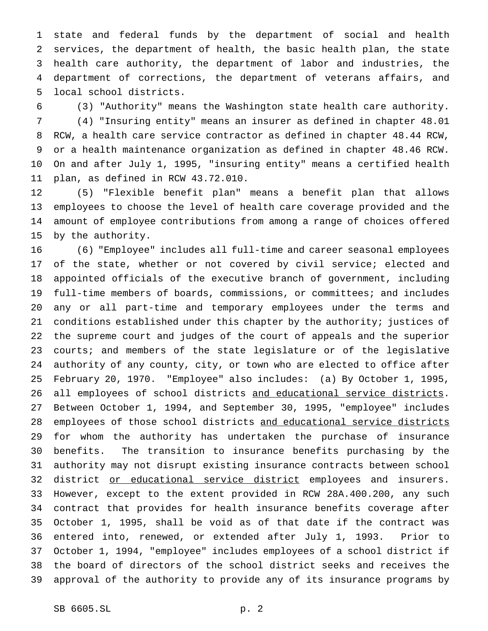state and federal funds by the department of social and health services, the department of health, the basic health plan, the state health care authority, the department of labor and industries, the department of corrections, the department of veterans affairs, and local school districts.

(3) "Authority" means the Washington state health care authority.

 (4) "Insuring entity" means an insurer as defined in chapter 48.01 RCW, a health care service contractor as defined in chapter 48.44 RCW, or a health maintenance organization as defined in chapter 48.46 RCW. On and after July 1, 1995, "insuring entity" means a certified health plan, as defined in RCW 43.72.010.

 (5) "Flexible benefit plan" means a benefit plan that allows employees to choose the level of health care coverage provided and the amount of employee contributions from among a range of choices offered by the authority.

 (6) "Employee" includes all full-time and career seasonal employees 17 of the state, whether or not covered by civil service; elected and appointed officials of the executive branch of government, including full-time members of boards, commissions, or committees; and includes any or all part-time and temporary employees under the terms and conditions established under this chapter by the authority; justices of the supreme court and judges of the court of appeals and the superior 23 courts; and members of the state legislature or of the legislative authority of any county, city, or town who are elected to office after February 20, 1970. "Employee" also includes: (a) By October 1, 1995, 26 all employees of school districts and educational service districts. Between October 1, 1994, and September 30, 1995, "employee" includes 28 employees of those school districts and educational service districts for whom the authority has undertaken the purchase of insurance benefits. The transition to insurance benefits purchasing by the authority may not disrupt existing insurance contracts between school 32 district or educational service district employees and insurers. However, except to the extent provided in RCW 28A.400.200, any such contract that provides for health insurance benefits coverage after October 1, 1995, shall be void as of that date if the contract was entered into, renewed, or extended after July 1, 1993. Prior to October 1, 1994, "employee" includes employees of a school district if the board of directors of the school district seeks and receives the approval of the authority to provide any of its insurance programs by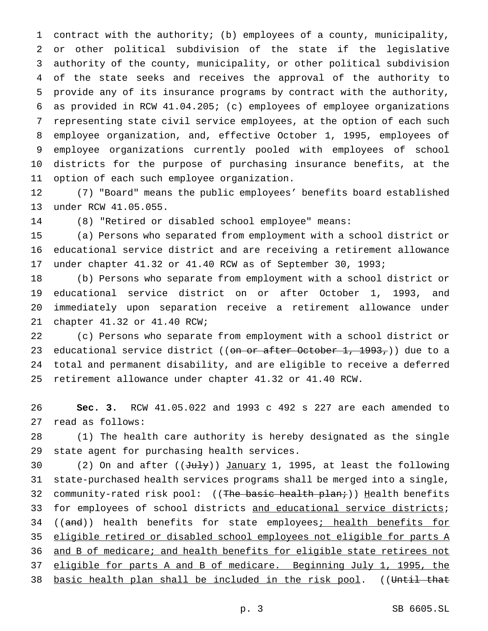contract with the authority; (b) employees of a county, municipality, or other political subdivision of the state if the legislative authority of the county, municipality, or other political subdivision of the state seeks and receives the approval of the authority to provide any of its insurance programs by contract with the authority, as provided in RCW 41.04.205; (c) employees of employee organizations representing state civil service employees, at the option of each such employee organization, and, effective October 1, 1995, employees of employee organizations currently pooled with employees of school districts for the purpose of purchasing insurance benefits, at the option of each such employee organization.

 (7) "Board" means the public employees' benefits board established under RCW 41.05.055.

(8) "Retired or disabled school employee" means:

 (a) Persons who separated from employment with a school district or educational service district and are receiving a retirement allowance under chapter 41.32 or 41.40 RCW as of September 30, 1993;

 (b) Persons who separate from employment with a school district or educational service district on or after October 1, 1993, and immediately upon separation receive a retirement allowance under chapter 41.32 or 41.40 RCW;

 (c) Persons who separate from employment with a school district or 23 educational service district ((on or after October 1, 1993,)) due to a total and permanent disability, and are eligible to receive a deferred retirement allowance under chapter 41.32 or 41.40 RCW.

 **Sec. 3.** RCW 41.05.022 and 1993 c 492 s 227 are each amended to read as follows:

 (1) The health care authority is hereby designated as the single state agent for purchasing health services.

30 (2) On and after  $((\text{July}))$  January 1, 1995, at least the following state-purchased health services programs shall be merged into a single, 32 community-rated risk pool: ((The basic health plan;)) Health benefits 33 for employees of school districts and educational service districts; 34 ((and)) health benefits for state employees; health benefits for eligible retired or disabled school employees not eligible for parts A 36 and B of medicare; and health benefits for eligible state retirees not eligible for parts A and B of medicare. Beginning July 1, 1995, the 38 basic health plan shall be included in the risk pool. ((Until that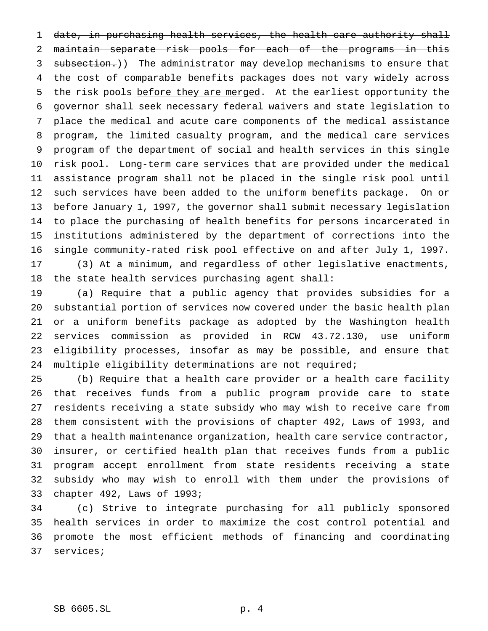date, in purchasing health services, the health care authority shall maintain separate risk pools for each of the programs in this 3 subsection.)) The administrator may develop mechanisms to ensure that the cost of comparable benefits packages does not vary widely across 5 the risk pools before they are merged. At the earliest opportunity the governor shall seek necessary federal waivers and state legislation to place the medical and acute care components of the medical assistance program, the limited casualty program, and the medical care services program of the department of social and health services in this single risk pool. Long-term care services that are provided under the medical assistance program shall not be placed in the single risk pool until such services have been added to the uniform benefits package. On or before January 1, 1997, the governor shall submit necessary legislation to place the purchasing of health benefits for persons incarcerated in institutions administered by the department of corrections into the single community-rated risk pool effective on and after July 1, 1997. (3) At a minimum, and regardless of other legislative enactments, the state health services purchasing agent shall:

 (a) Require that a public agency that provides subsidies for a substantial portion of services now covered under the basic health plan or a uniform benefits package as adopted by the Washington health services commission as provided in RCW 43.72.130, use uniform eligibility processes, insofar as may be possible, and ensure that 24 multiple eligibility determinations are not required;

 (b) Require that a health care provider or a health care facility that receives funds from a public program provide care to state residents receiving a state subsidy who may wish to receive care from them consistent with the provisions of chapter 492, Laws of 1993, and that a health maintenance organization, health care service contractor, insurer, or certified health plan that receives funds from a public program accept enrollment from state residents receiving a state subsidy who may wish to enroll with them under the provisions of chapter 492, Laws of 1993;

 (c) Strive to integrate purchasing for all publicly sponsored health services in order to maximize the cost control potential and promote the most efficient methods of financing and coordinating services;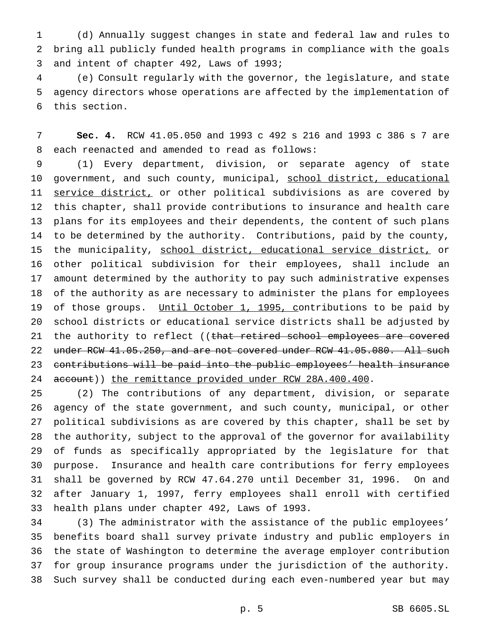(d) Annually suggest changes in state and federal law and rules to bring all publicly funded health programs in compliance with the goals and intent of chapter 492, Laws of 1993;

 (e) Consult regularly with the governor, the legislature, and state agency directors whose operations are affected by the implementation of this section.

 **Sec. 4.** RCW 41.05.050 and 1993 c 492 s 216 and 1993 c 386 s 7 are each reenacted and amended to read as follows:

 (1) Every department, division, or separate agency of state 10 government, and such county, municipal, school district, educational 11 service district, or other political subdivisions as are covered by this chapter, shall provide contributions to insurance and health care plans for its employees and their dependents, the content of such plans to be determined by the authority. Contributions, paid by the county, 15 the municipality, school district, educational service district, or other political subdivision for their employees, shall include an amount determined by the authority to pay such administrative expenses of the authority as are necessary to administer the plans for employees 19 of those groups. Until October 1, 1995, contributions to be paid by school districts or educational service districts shall be adjusted by 21 the authority to reflect ((that retired school employees are covered 22 under RCW 41.05.250, and are not covered under RCW 41.05.080. All such contributions will be paid into the public employees' health insurance 24 account)) the remittance provided under RCW 28A.400.400.

 (2) The contributions of any department, division, or separate agency of the state government, and such county, municipal, or other political subdivisions as are covered by this chapter, shall be set by the authority, subject to the approval of the governor for availability of funds as specifically appropriated by the legislature for that purpose. Insurance and health care contributions for ferry employees shall be governed by RCW 47.64.270 until December 31, 1996. On and after January 1, 1997, ferry employees shall enroll with certified health plans under chapter 492, Laws of 1993.

 (3) The administrator with the assistance of the public employees' benefits board shall survey private industry and public employers in the state of Washington to determine the average employer contribution for group insurance programs under the jurisdiction of the authority. Such survey shall be conducted during each even-numbered year but may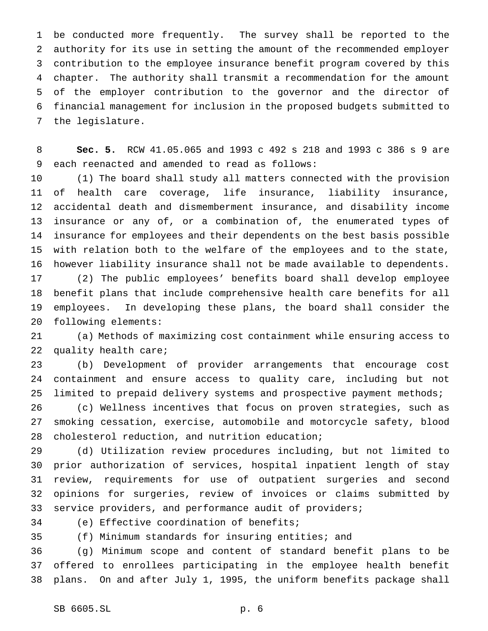be conducted more frequently. The survey shall be reported to the authority for its use in setting the amount of the recommended employer contribution to the employee insurance benefit program covered by this chapter. The authority shall transmit a recommendation for the amount of the employer contribution to the governor and the director of financial management for inclusion in the proposed budgets submitted to the legislature.

 **Sec. 5.** RCW 41.05.065 and 1993 c 492 s 218 and 1993 c 386 s 9 are each reenacted and amended to read as follows:

 (1) The board shall study all matters connected with the provision of health care coverage, life insurance, liability insurance, accidental death and dismemberment insurance, and disability income insurance or any of, or a combination of, the enumerated types of insurance for employees and their dependents on the best basis possible with relation both to the welfare of the employees and to the state, however liability insurance shall not be made available to dependents.

 (2) The public employees' benefits board shall develop employee benefit plans that include comprehensive health care benefits for all employees. In developing these plans, the board shall consider the following elements:

 (a) Methods of maximizing cost containment while ensuring access to quality health care;

 (b) Development of provider arrangements that encourage cost containment and ensure access to quality care, including but not limited to prepaid delivery systems and prospective payment methods;

 (c) Wellness incentives that focus on proven strategies, such as smoking cessation, exercise, automobile and motorcycle safety, blood cholesterol reduction, and nutrition education;

 (d) Utilization review procedures including, but not limited to prior authorization of services, hospital inpatient length of stay review, requirements for use of outpatient surgeries and second opinions for surgeries, review of invoices or claims submitted by service providers, and performance audit of providers;

(e) Effective coordination of benefits;

(f) Minimum standards for insuring entities; and

 (g) Minimum scope and content of standard benefit plans to be offered to enrollees participating in the employee health benefit plans. On and after July 1, 1995, the uniform benefits package shall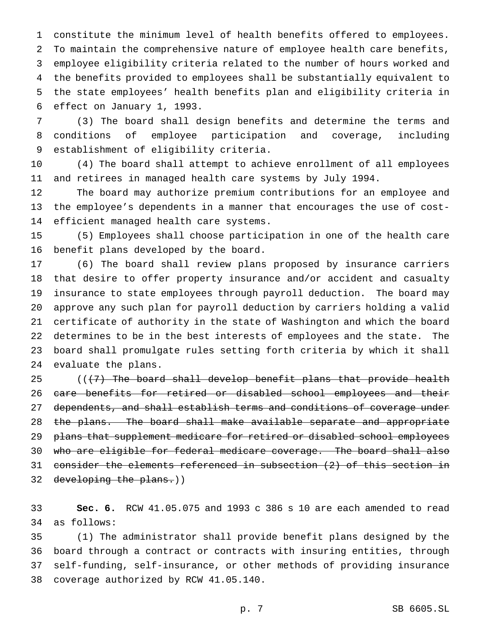constitute the minimum level of health benefits offered to employees. To maintain the comprehensive nature of employee health care benefits, employee eligibility criteria related to the number of hours worked and the benefits provided to employees shall be substantially equivalent to the state employees' health benefits plan and eligibility criteria in effect on January 1, 1993.

 (3) The board shall design benefits and determine the terms and conditions of employee participation and coverage, including establishment of eligibility criteria.

 (4) The board shall attempt to achieve enrollment of all employees and retirees in managed health care systems by July 1994.

 The board may authorize premium contributions for an employee and the employee's dependents in a manner that encourages the use of cost-efficient managed health care systems.

 (5) Employees shall choose participation in one of the health care benefit plans developed by the board.

 (6) The board shall review plans proposed by insurance carriers that desire to offer property insurance and/or accident and casualty insurance to state employees through payroll deduction. The board may approve any such plan for payroll deduction by carriers holding a valid certificate of authority in the state of Washington and which the board determines to be in the best interests of employees and the state. The board shall promulgate rules setting forth criteria by which it shall evaluate the plans.

 $($   $($   $($   $\frac{1}{2}$  The board shall develop benefit plans that provide health 26 care benefits for retired or disabled school employees and their 27 dependents, and shall establish terms and conditions of coverage under 28 the plans. The board shall make available separate and appropriate plans that supplement medicare for retired or disabled school employees who are eligible for federal medicare coverage. The board shall also consider the elements referenced in subsection (2) of this section in developing the plans.))

 **Sec. 6.** RCW 41.05.075 and 1993 c 386 s 10 are each amended to read as follows:

 (1) The administrator shall provide benefit plans designed by the board through a contract or contracts with insuring entities, through self-funding, self-insurance, or other methods of providing insurance coverage authorized by RCW 41.05.140.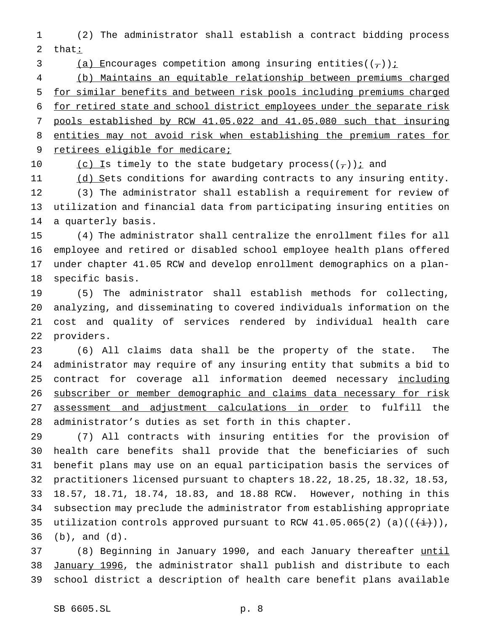(2) The administrator shall establish a contract bidding process 2 that:

3 (a) Encourages competition among insuring entities( $(\tau)$ ) i

 (b) Maintains an equitable relationship between premiums charged for similar benefits and between risk pools including premiums charged for retired state and school district employees under the separate risk pools established by RCW 41.05.022 and 41.05.080 such that insuring entities may not avoid risk when establishing the premium rates for 9 retirees eligible for medicare;

10 (c) Is timely to the state budgetary process( $(\tau)$ ) and

11 (d) Sets conditions for awarding contracts to any insuring entity. (3) The administrator shall establish a requirement for review of utilization and financial data from participating insuring entities on a quarterly basis.

 (4) The administrator shall centralize the enrollment files for all employee and retired or disabled school employee health plans offered under chapter 41.05 RCW and develop enrollment demographics on a plan-specific basis.

 (5) The administrator shall establish methods for collecting, analyzing, and disseminating to covered individuals information on the cost and quality of services rendered by individual health care providers.

 (6) All claims data shall be the property of the state. The administrator may require of any insuring entity that submits a bid to 25 contract for coverage all information deemed necessary including 26 subscriber or member demographic and claims data necessary for risk 27 assessment and adjustment calculations in order to fulfill the administrator's duties as set forth in this chapter.

 (7) All contracts with insuring entities for the provision of health care benefits shall provide that the beneficiaries of such benefit plans may use on an equal participation basis the services of practitioners licensed pursuant to chapters 18.22, 18.25, 18.32, 18.53, 18.57, 18.71, 18.74, 18.83, and 18.88 RCW. However, nothing in this subsection may preclude the administrator from establishing appropriate 35 utilization controls approved pursuant to RCW 41.05.065(2) (a)(( $\overleftrightarrow{t}$ )), (b), and (d).

37 (8) Beginning in January 1990, and each January thereafter until January 1996, the administrator shall publish and distribute to each school district a description of health care benefit plans available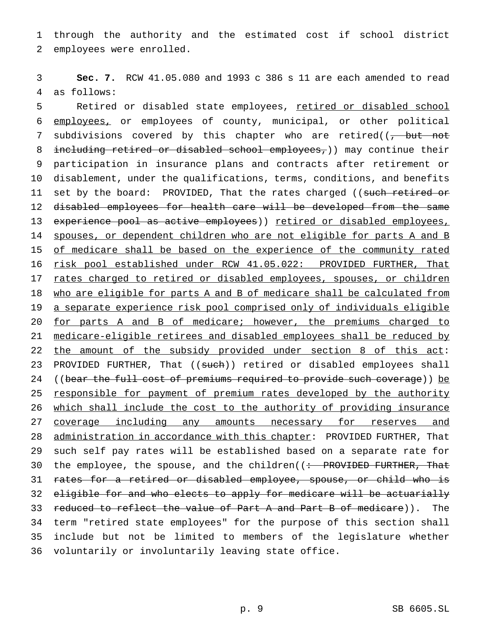1 through the authority and the estimated cost if school district 2 employees were enrolled.

3 **Sec. 7.** RCW 41.05.080 and 1993 c 386 s 11 are each amended to read 4 as follows:

5 Retired or disabled state employees, retired or disabled school 6 employees, or employees of county, municipal, or other political 7 subdivisions covered by this chapter who are retired( $\sqrt{$ , but not 8 including retired or disabled school employees,)) may continue their 9 participation in insurance plans and contracts after retirement or 10 disablement, under the qualifications, terms, conditions, and benefits 11 set by the board: PROVIDED, That the rates charged ((such retired or 12 disabled employees for health care will be developed from the same 13 experience pool as active employees)) retired or disabled employees, 14 spouses, or dependent children who are not eligible for parts A and B 15 of medicare shall be based on the experience of the community rated 16 risk pool established under RCW 41.05.022: PROVIDED FURTHER, That 17 rates charged to retired or disabled employees, spouses, or children 18 who are eligible for parts A and B of medicare shall be calculated from 19 a separate experience risk pool comprised only of individuals eligible 20 for parts A and B of medicare; however, the premiums charged to 21 medicare-eligible retirees and disabled employees shall be reduced by 22 the amount of the subsidy provided under section 8 of this act: 23 PROVIDED FURTHER, That ((such)) retired or disabled employees shall 24 ((bear the full cost of premiums required to provide such coverage)) be 25 responsible for payment of premium rates developed by the authority 26 which shall include the cost to the authority of providing insurance 27 coverage including any amounts necessary for reserves and 28 administration in accordance with this chapter: PROVIDED FURTHER, That 29 such self pay rates will be established based on a separate rate for 30 the employee, the spouse, and the children((: PROVIDED FURTHER, That 31 rates for a retired or disabled employee, spouse, or child who is 32 eligible for and who elects to apply for medicare will be actuarially 33 reduced to reflect the value of Part A and Part B of medicare)). The 34 term "retired state employees" for the purpose of this section shall 35 include but not be limited to members of the legislature whether 36 voluntarily or involuntarily leaving state office.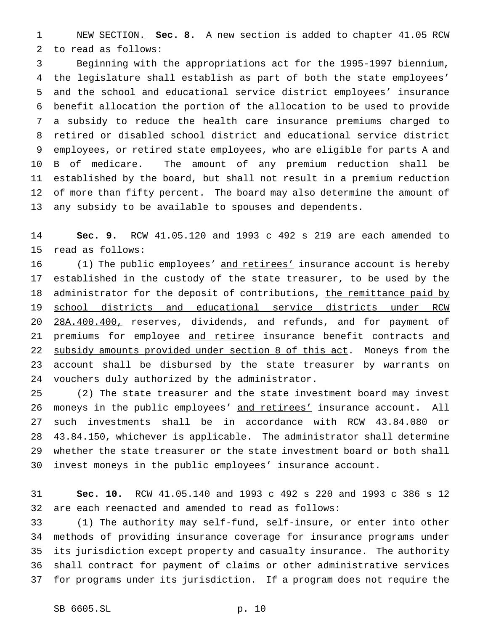NEW SECTION. **Sec. 8.** A new section is added to chapter 41.05 RCW to read as follows:

 Beginning with the appropriations act for the 1995-1997 biennium, the legislature shall establish as part of both the state employees' and the school and educational service district employees' insurance benefit allocation the portion of the allocation to be used to provide a subsidy to reduce the health care insurance premiums charged to retired or disabled school district and educational service district employees, or retired state employees, who are eligible for parts A and B of medicare. The amount of any premium reduction shall be established by the board, but shall not result in a premium reduction of more than fifty percent. The board may also determine the amount of any subsidy to be available to spouses and dependents.

 **Sec. 9.** RCW 41.05.120 and 1993 c 492 s 219 are each amended to read as follows:

16 (1) The public employees' and retirees' insurance account is hereby established in the custody of the state treasurer, to be used by the 18 administrator for the deposit of contributions, the remittance paid by school districts and educational service districts under RCW 20 28A.400.400, reserves, dividends, and refunds, and for payment of 21 premiums for employee and retiree insurance benefit contracts and 22 subsidy amounts provided under section 8 of this act. Moneys from the account shall be disbursed by the state treasurer by warrants on vouchers duly authorized by the administrator.

 (2) The state treasurer and the state investment board may invest 26 moneys in the public employees' and retirees' insurance account. All such investments shall be in accordance with RCW 43.84.080 or 43.84.150, whichever is applicable. The administrator shall determine whether the state treasurer or the state investment board or both shall invest moneys in the public employees' insurance account.

 **Sec. 10.** RCW 41.05.140 and 1993 c 492 s 220 and 1993 c 386 s 12 are each reenacted and amended to read as follows:

 (1) The authority may self-fund, self-insure, or enter into other methods of providing insurance coverage for insurance programs under its jurisdiction except property and casualty insurance. The authority shall contract for payment of claims or other administrative services for programs under its jurisdiction. If a program does not require the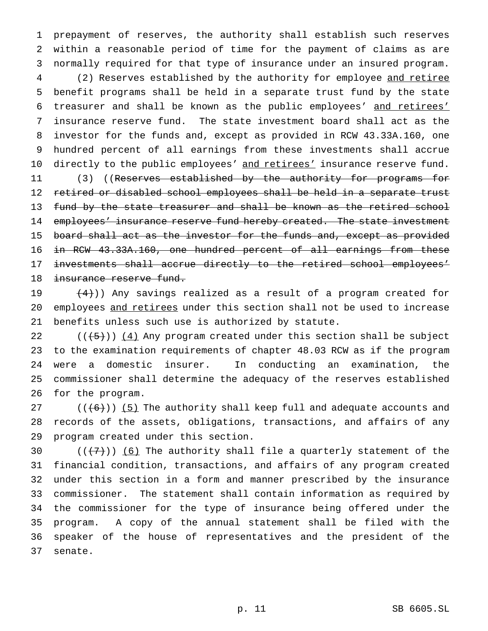prepayment of reserves, the authority shall establish such reserves within a reasonable period of time for the payment of claims as are normally required for that type of insurance under an insured program. 4 (2) Reserves established by the authority for employee and retiree benefit programs shall be held in a separate trust fund by the state treasurer and shall be known as the public employees' and retirees' insurance reserve fund. The state investment board shall act as the investor for the funds and, except as provided in RCW 43.33A.160, one hundred percent of all earnings from these investments shall accrue 10 directly to the public employees' and retirees' insurance reserve fund. 11 (3) ((Reserves established by the authority for programs for retired or disabled school employees shall be held in a separate trust

13 fund by the state treasurer and shall be known as the retired school 14 employees' insurance reserve fund hereby created. The state investment 15 board shall act as the investor for the funds and, except as provided in RCW 43.33A.160, one hundred percent of all earnings from these investments shall accrue directly to the retired school employees' 18 insurance reserve fund.

19  $(4)$ )) Any savings realized as a result of a program created for employees and retirees under this section shall not be used to increase benefits unless such use is authorized by statute.

 $((+5))$   $(4)$  Any program created under this section shall be subject to the examination requirements of chapter 48.03 RCW as if the program were a domestic insurer. In conducting an examination, the commissioner shall determine the adequacy of the reserves established for the program.

 $((6+))$  (5) The authority shall keep full and adequate accounts and records of the assets, obligations, transactions, and affairs of any program created under this section.

 $((+7))$  (6) The authority shall file a quarterly statement of the financial condition, transactions, and affairs of any program created under this section in a form and manner prescribed by the insurance commissioner. The statement shall contain information as required by the commissioner for the type of insurance being offered under the program. A copy of the annual statement shall be filed with the speaker of the house of representatives and the president of the senate.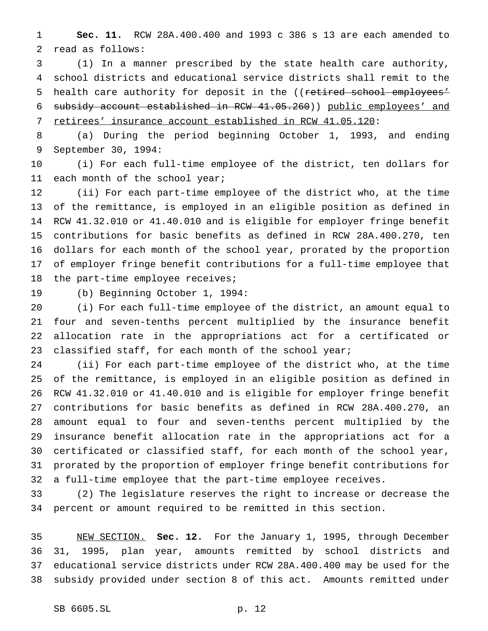**Sec. 11.** RCW 28A.400.400 and 1993 c 386 s 13 are each amended to read as follows:

 (1) In a manner prescribed by the state health care authority, school districts and educational service districts shall remit to the 5 health care authority for deposit in the ((retired school employees' subsidy account established in RCW 41.05.260)) public employees' and 7 retirees' insurance account established in RCW 41.05.120:

 (a) During the period beginning October 1, 1993, and ending September 30, 1994:

 (i) For each full-time employee of the district, ten dollars for 11 each month of the school year;

 (ii) For each part-time employee of the district who, at the time of the remittance, is employed in an eligible position as defined in RCW 41.32.010 or 41.40.010 and is eligible for employer fringe benefit contributions for basic benefits as defined in RCW 28A.400.270, ten dollars for each month of the school year, prorated by the proportion of employer fringe benefit contributions for a full-time employee that the part-time employee receives;

(b) Beginning October 1, 1994:

 (i) For each full-time employee of the district, an amount equal to four and seven-tenths percent multiplied by the insurance benefit allocation rate in the appropriations act for a certificated or 23 classified staff, for each month of the school year;

 (ii) For each part-time employee of the district who, at the time of the remittance, is employed in an eligible position as defined in RCW 41.32.010 or 41.40.010 and is eligible for employer fringe benefit contributions for basic benefits as defined in RCW 28A.400.270, an amount equal to four and seven-tenths percent multiplied by the insurance benefit allocation rate in the appropriations act for a certificated or classified staff, for each month of the school year, prorated by the proportion of employer fringe benefit contributions for a full-time employee that the part-time employee receives.

 (2) The legislature reserves the right to increase or decrease the percent or amount required to be remitted in this section.

 NEW SECTION. **Sec. 12.** For the January 1, 1995, through December 31, 1995, plan year, amounts remitted by school districts and educational service districts under RCW 28A.400.400 may be used for the subsidy provided under section 8 of this act. Amounts remitted under